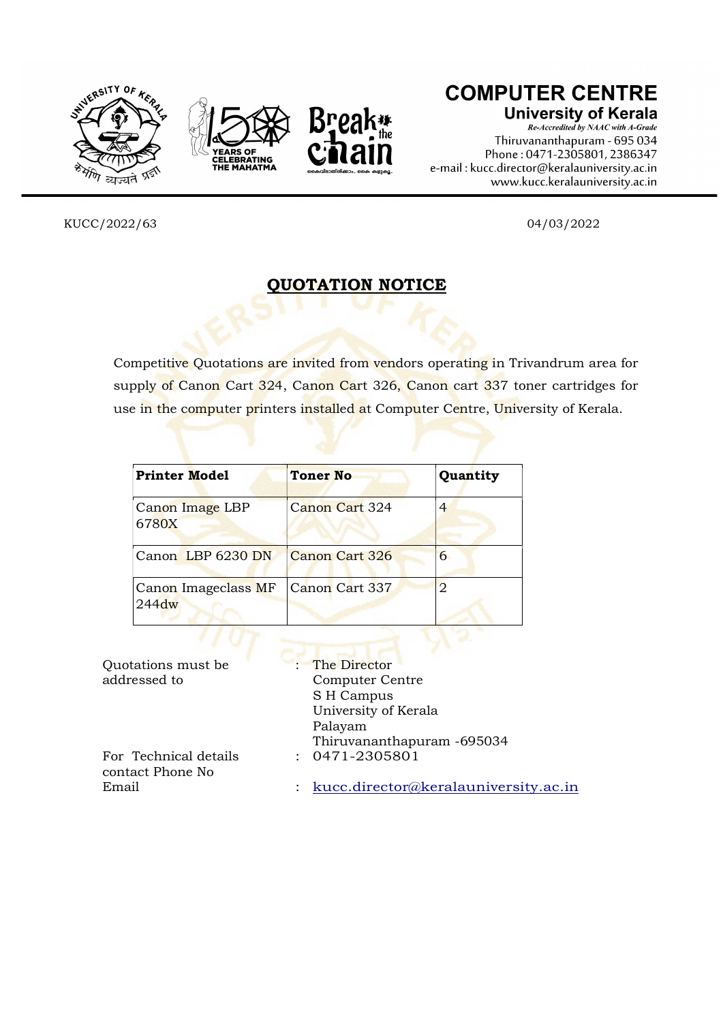





## **COMPUTER CENTRE**

**University of Kerala** 

Re-Accredited by NAAC with A-Grade Thiruvananthapuram - 695 034 Phone: 0471-2305801, 2386347 e-mail: kucc.director@keralauniversity.ac.in www.kucc.keralauniversity.ac.in

KUCC/2022/63 04/03/2022

## QUOTATION NOTICE

Competitive Quotations are invited from vendors operating in Trivandrum area for supply of Canon Cart 324, Canon Cart 326, Canon cart 337 toner cartridges for use in the computer printers installed at Computer Centre, University of Kerala.

| <b>Printer Model</b>            | <b>Toner No</b> | Quantity |
|---------------------------------|-----------------|----------|
| Canon Image LBP<br>6780X        | Canon Cart 324  | 4        |
| Canon LBP 6230 DN               | Canon Cart 326  | 6        |
| Canon Imageclass MF<br>$244$ dw | Canon Cart 337  | 2        |
|                                 |                 |          |

| Quotations must be                        | : The Director                       |
|-------------------------------------------|--------------------------------------|
| addressed to                              | Computer Centre                      |
|                                           | S H Campus                           |
|                                           | University of Kerala                 |
|                                           | Palayam                              |
|                                           | Thiruvananthapuram -695034           |
| For Technical details<br>contact Phone No | $: 0471 - 2305801$                   |
| Email                                     | kucc.director@keralauniversity.ac.in |